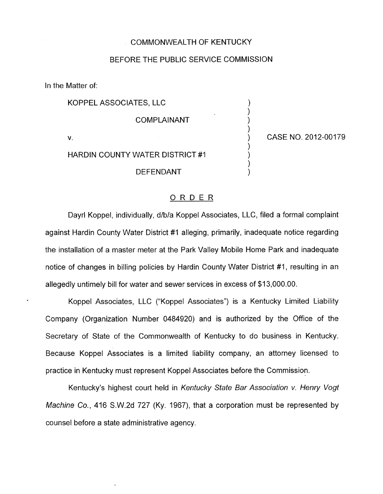## COMMONWEALTH OF KENTUCKY

## BEFORE THE PUBLIC SERVICE COMMISSION

In the Matter of:

KOPPEL ASSOCIATES, LLC )

**COMPLAINANT** 

HARDIN COUNTY WATER DISTRICT #I

**DEFENDANT** 

V. ) CASE NO. 2012-00179

)

)

 $\big)$ 1 )

## ORDER

Dayrl Koppel, individually, d/b/a Koppel Associates, LLC, filed a formal complaint against Hardin County Water District #I alleging, primarily, inadequate notice regarding the installation of a master meter at the Park Valley Mobile Home Park and inadequate notice of changes in billing policies by Hardin County Water District #I, resulting in an allegedly untimely bill for water and sewer services in excess of \$13,000.00.

Koppel Associates, LLC ("Koppel Associates") is a Kentucky Limited Liability Company (Organization Number 0484920) and is authorized by the Office of the Secretary of State of the Commonwealth of Kentucky to do business in Kentucky. Because Koppel Associates is a limited liability company, an attorney licensed to practice in Kentucky must represent Koppel Associates before the Commission.

Kentucky's highest court held in *Kentucky State Bar Association v. Henry* Vogf *Machine* Co., 416 S.W.2d 727 (Ky. 1967), that a corporation must be represented by counsel before a state administrative agency.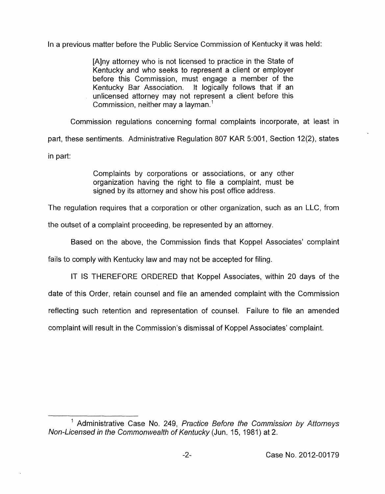In a previous matter before the Public Service Commission of Kentucky it was held:

[Alny attorney who is not licensed to practice in the State of Kentucky and who seeks to represent a client or employer before this Commission, must engage a member of the Kentucky Bar Association. It logically follows that if an unlicensed attorney may not represent a client before this Commission, neither may a layman.'

Commission regulations concerning formal complaints incorporate, at least in part, these sentiments. Administrative Regulation 807 KAR 5:001, Section 12(2), states in part:

> Complaints by corporations or associations, or any other organization having the right to file a complaint, must be signed by its attorney and show his post office address.

The regulation requires that a corporation or other organization, such as an LLC, from

the outset of a complaint proceeding, be represented by an attorney

Based on the above, the Commission finds that Koppel Associates' complaint

fails to comply with Kentucky law and may not be accepted for filing.

IT **IS** THEREFORE ORDERED that Koppel Associates, within 20 days of the date of this Order, retain counsel and file an amended complaint with the Commission reflecting such retention and representation of counsel. Failure to file an amended complaint will result in the Commission's dismissal of Koppel Associates' complaint.

<sup>&#</sup>x27; Administrative Case No. 249, *Practice Before the Commission by Attorneys Non-Licensed in the Commonwealth of Kentucky* (Jun. 15, 1981) at 2.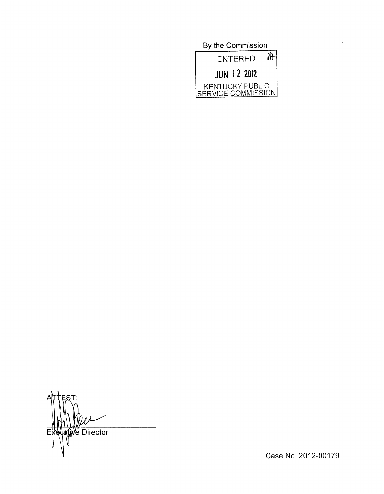By the Commission  $M$ ENTERED **JUN 12 2012** KENTUCKY PUBLIC<br>SERVICE COMMISSION

le Director F

Case No. 2012-00179